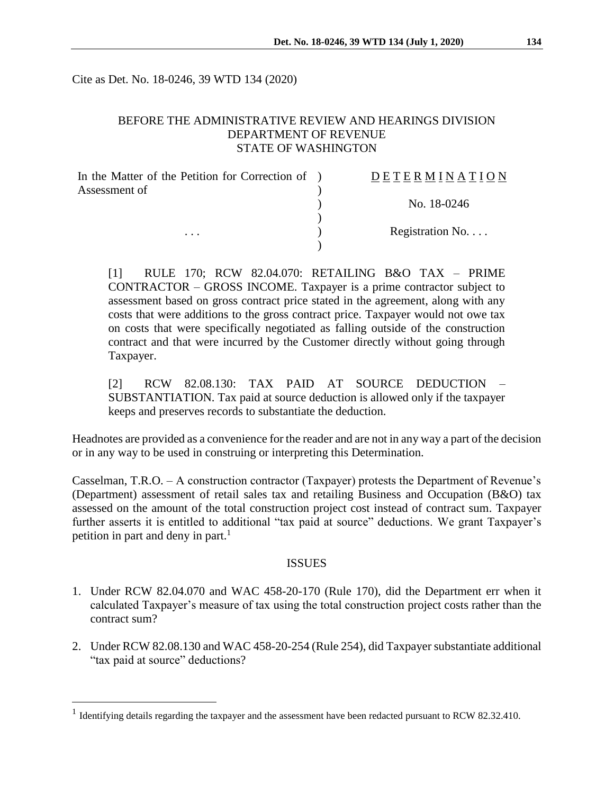Cite as Det. No. 18-0246, 39 WTD 134 (2020)

#### BEFORE THE ADMINISTRATIVE REVIEW AND HEARINGS DIVISION DEPARTMENT OF REVENUE STATE OF WASHINGTON

| In the Matter of the Petition for Correction of ) | DETERMINATION            |
|---------------------------------------------------|--------------------------|
| Assessment of                                     |                          |
| $\cdots$                                          | No. 18-0246              |
|                                                   |                          |
|                                                   | Registration No. $\dots$ |
|                                                   |                          |

[1] RULE 170; RCW 82.04.070: RETAILING B&O TAX – PRIME CONTRACTOR – GROSS INCOME. Taxpayer is a prime contractor subject to assessment based on gross contract price stated in the agreement, along with any costs that were additions to the gross contract price. Taxpayer would not owe tax on costs that were specifically negotiated as falling outside of the construction contract and that were incurred by the Customer directly without going through Taxpayer.

[2] RCW 82.08.130: TAX PAID AT SOURCE DEDUCTION – SUBSTANTIATION. Tax paid at source deduction is allowed only if the taxpayer keeps and preserves records to substantiate the deduction.

Headnotes are provided as a convenience for the reader and are not in any way a part of the decision or in any way to be used in construing or interpreting this Determination.

Casselman, T.R.O. – A construction contractor (Taxpayer) protests the Department of Revenue's (Department) assessment of retail sales tax and retailing Business and Occupation (B&O) tax assessed on the amount of the total construction project cost instead of contract sum. Taxpayer further asserts it is entitled to additional "tax paid at source" deductions. We grant Taxpayer's petition in part and deny in part.<sup>1</sup>

#### ISSUES

- 1. Under RCW 82.04.070 and WAC 458-20-170 (Rule 170), did the Department err when it calculated Taxpayer's measure of tax using the total construction project costs rather than the contract sum?
- 2. Under RCW 82.08.130 and WAC 458-20-254 (Rule 254), did Taxpayer substantiate additional "tax paid at source" deductions?

 $\overline{a}$ 

<sup>&</sup>lt;sup>1</sup> Identifying details regarding the taxpayer and the assessment have been redacted pursuant to RCW 82.32.410.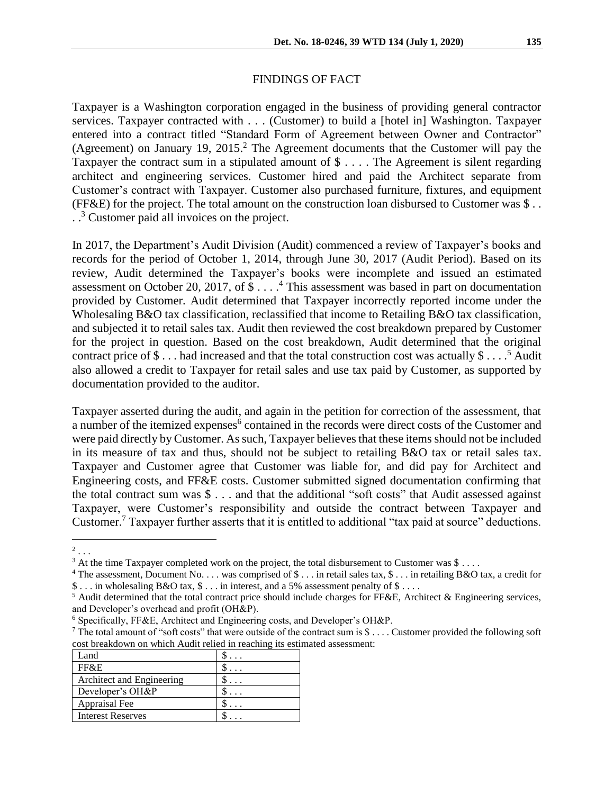#### FINDINGS OF FACT

Taxpayer is a Washington corporation engaged in the business of providing general contractor services. Taxpayer contracted with . . . (Customer) to build a [hotel in] Washington. Taxpayer entered into a contract titled "Standard Form of Agreement between Owner and Contractor" (Agreement) on January 19, 2015. <sup>2</sup> The Agreement documents that the Customer will pay the Taxpayer the contract sum in a stipulated amount of \$ . . . . The Agreement is silent regarding architect and engineering services. Customer hired and paid the Architect separate from Customer's contract with Taxpayer. Customer also purchased furniture, fixtures, and equipment (FF&E) for the project. The total amount on the construction loan disbursed to Customer was \$ . . . . <sup>3</sup> Customer paid all invoices on the project.

In 2017, the Department's Audit Division (Audit) commenced a review of Taxpayer's books and records for the period of October 1, 2014, through June 30, 2017 (Audit Period). Based on its review, Audit determined the Taxpayer's books were incomplete and issued an estimated assessment on October 20, 2017, of \$ . . . . <sup>4</sup> This assessment was based in part on documentation provided by Customer. Audit determined that Taxpayer incorrectly reported income under the Wholesaling B&O tax classification, reclassified that income to Retailing B&O tax classification, and subjected it to retail sales tax. Audit then reviewed the cost breakdown prepared by Customer for the project in question. Based on the cost breakdown, Audit determined that the original contract price of \$... had increased and that the total construction cost was actually  $$...$ <sup>5</sup> Audit also allowed a credit to Taxpayer for retail sales and use tax paid by Customer, as supported by documentation provided to the auditor.

Taxpayer asserted during the audit, and again in the petition for correction of the assessment, that a number of the itemized expenses<sup>6</sup> contained in the records were direct costs of the Customer and were paid directly by Customer. As such, Taxpayer believes that these items should not be included in its measure of tax and thus, should not be subject to retailing B&O tax or retail sales tax. Taxpayer and Customer agree that Customer was liable for, and did pay for Architect and Engineering costs, and FF&E costs. Customer submitted signed documentation confirming that the total contract sum was \$ . . . and that the additional "soft costs" that Audit assessed against Taxpayer, were Customer's responsibility and outside the contract between Taxpayer and Customer.<sup>7</sup> Taxpayer further asserts that it is entitled to additional "tax paid at source" deductions.

<sup>&</sup>lt;sup>7</sup> The total amount of "soft costs" that were outside of the contract sum is  $\$\dots$ . Customer provided the following soft cost breakdown on which Audit relied in reaching its estimated assessment:

| Land                      |  |
|---------------------------|--|
| FF&E                      |  |
| Architect and Engineering |  |
| Developer's OH&P          |  |
| Appraisal Fee             |  |
| <b>Interest Reserves</b>  |  |

 $\overline{a}$ 2 . . .

<sup>&</sup>lt;sup>3</sup> At the time Taxpayer completed work on the project, the total disbursement to Customer was \$ . . . .

<sup>&</sup>lt;sup>4</sup> The assessment, Document No. . . . was comprised of  $\$\ldots$  in retail sales tax,  $\$\ldots$  in retailing B&O tax, a credit for \$ . . . in wholesaling B&O tax, \$ . . . in interest, and a 5% assessment penalty of \$ . . . .

<sup>5</sup> Audit determined that the total contract price should include charges for FF&E, Architect & Engineering services, and Developer's overhead and profit (OH&P).

<sup>6</sup> Specifically, FF&E, Architect and Engineering costs, and Developer's OH&P.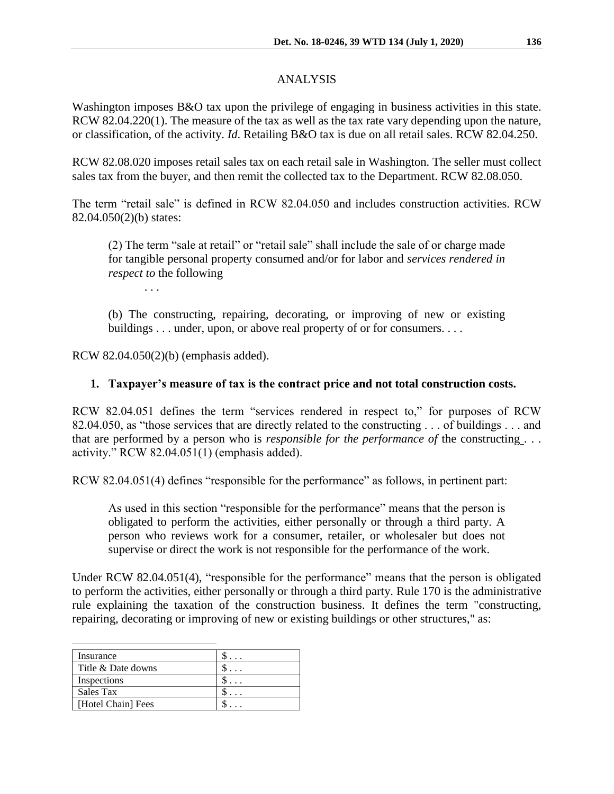### ANALYSIS

Washington imposes B&O tax upon the privilege of engaging in business activities in this state. RCW 82.04.220(1). The measure of the tax as well as the tax rate vary depending upon the nature, or classification, of the activity. *Id*. Retailing B&O tax is due on all retail sales. RCW 82.04.250.

RCW 82.08.020 imposes retail sales tax on each retail sale in Washington. The seller must collect sales tax from the buyer, and then remit the collected tax to the Department. RCW 82.08.050.

The term "retail sale" is defined in RCW 82.04.050 and includes construction activities. RCW 82.04.050(2)(b) states:

(2) The term "sale at retail" or "retail sale" shall include the sale of or charge made for tangible personal property consumed and/or for labor and *services rendered in respect to* the following

. . .

(b) The constructing, repairing, decorating, or improving of new or existing buildings . . . under, upon, or above real property of or for consumers. . . .

RCW 82.04.050(2)(b) (emphasis added).

## **1. Taxpayer's measure of tax is the contract price and not total construction costs.**

RCW 82.04.051 defines the term "services rendered in respect to," for purposes of RCW 82.04.050, as "those services that are directly related to the constructing . . . of buildings . . . and that are performed by a person who is *responsible for the performance of* the constructing . . . activity." RCW 82.04.051(1) (emphasis added).

RCW 82.04.051(4) defines "responsible for the performance" as follows, in pertinent part:

As used in this section "responsible for the performance" means that the person is obligated to perform the activities, either personally or through a third party. A person who reviews work for a consumer, retailer, or wholesaler but does not supervise or direct the work is not responsible for the performance of the work.

Under RCW 82.04.051(4), "responsible for the performance" means that the person is obligated to perform the activities, either personally or through a third party. Rule 170 is the administrative rule explaining the taxation of the construction business. It defines the term "constructing, repairing, decorating or improving of new or existing buildings or other structures," as:

| Insurance          |  |
|--------------------|--|
| Title & Date downs |  |
| Inspections        |  |
| Sales Tax          |  |
| [Hotel Chain] Fees |  |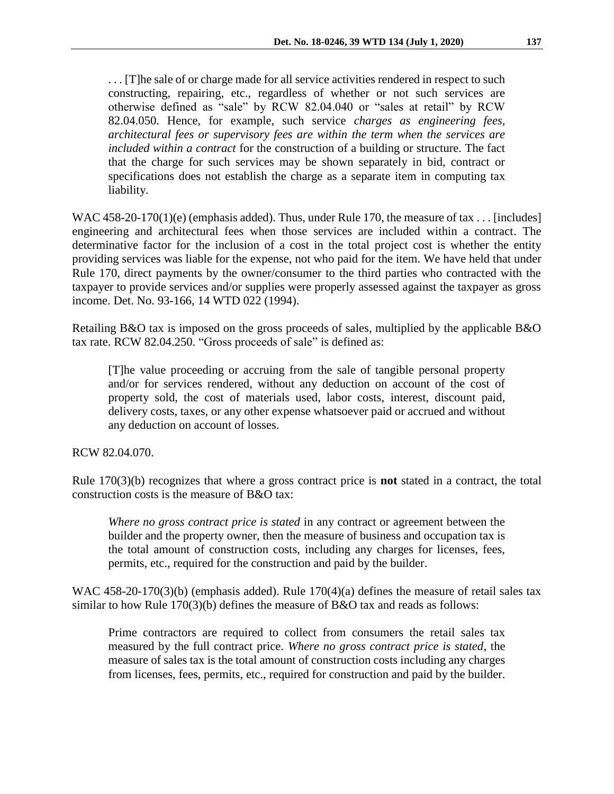. . . [T]he sale of or charge made for all service activities rendered in respect to such constructing, repairing, etc., regardless of whether or not such services are otherwise defined as "sale" by RCW 82.04.040 or "sales at retail" by RCW 82.04.050. Hence, for example, such service *charges as engineering fees, architectural fees or supervisory fees are within the term when the services are included within a contract* for the construction of a building or structure. The fact that the charge for such services may be shown separately in bid, contract or specifications does not establish the charge as a separate item in computing tax liability.

WAC 458-20-170(1)(e) (emphasis added). Thus, under Rule 170, the measure of tax . . . [includes] engineering and architectural fees when those services are included within a contract. The determinative factor for the inclusion of a cost in the total project cost is whether the entity providing services was liable for the expense, not who paid for the item. We have held that under Rule 170, direct payments by the owner/consumer to the third parties who contracted with the taxpayer to provide services and/or supplies were properly assessed against the taxpayer as gross income. Det. No. 93-166, 14 WTD 022 (1994).

Retailing B&O tax is imposed on the gross proceeds of sales, multiplied by the applicable B&O tax rate. RCW 82.04.250. "Gross proceeds of sale" is defined as:

[T]he value proceeding or accruing from the sale of tangible personal property and/or for services rendered, without any deduction on account of the cost of property sold, the cost of materials used, labor costs, interest, discount paid, delivery costs, taxes, or any other expense whatsoever paid or accrued and without any deduction on account of losses.

RCW 82.04.070.

Rule 170(3)(b) recognizes that where a gross contract price is **not** stated in a contract, the total construction costs is the measure of B&O tax:

*Where no gross contract price is stated* in any contract or agreement between the builder and the property owner, then the measure of business and occupation tax is the total amount of construction costs, including any charges for licenses, fees, permits, etc., required for the construction and paid by the builder.

WAC 458-20-170(3)(b) (emphasis added). Rule 170(4)(a) defines the measure of retail sales tax similar to how Rule 170(3)(b) defines the measure of B&O tax and reads as follows:

Prime contractors are required to collect from consumers the retail sales tax measured by the full contract price. *Where no gross contract price is stated*, the measure of sales tax is the total amount of construction costs including any charges from licenses, fees, permits, etc., required for construction and paid by the builder.